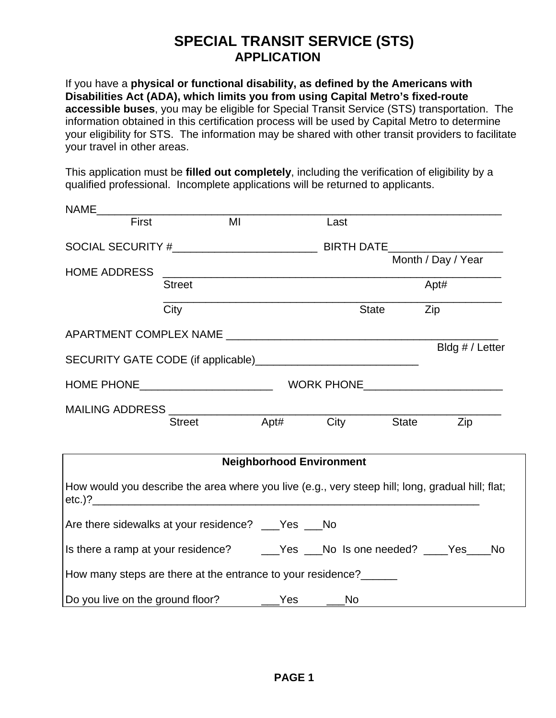## **SPECIAL TRANSIT SERVICE (STS) APPLICATION**

If you have a **physical or functional disability, as defined by the Americans with Disabilities Act (ADA), which limits you from using Capital Metro's fixed-route accessible buses**, you may be eligible for Special Transit Service (STS) transportation. The information obtained in this certification process will be used by Capital Metro to determine your eligibility for STS. The information may be shared with other transit providers to facilitate your travel in other areas.

This application must be **filled out completely**, including the verification of eligibility by a qualified professional. Incomplete applications will be returned to applicants.

| NAME <b>NAME</b>                                                                                 |               |                                                                                                                      |      |           |                    |
|--------------------------------------------------------------------------------------------------|---------------|----------------------------------------------------------------------------------------------------------------------|------|-----------|--------------------|
| First                                                                                            |               | MI                                                                                                                   | Last |           |                    |
|                                                                                                  |               |                                                                                                                      |      |           |                    |
| <b>HOME ADDRESS</b>                                                                              |               | <u> 2000 - Jan Barbara Barbara, manazarta da kasas da kasas da kasas da kasas da kasas da kasas da kasas da kasa</u> |      |           | Month / Day / Year |
|                                                                                                  | <b>Street</b> |                                                                                                                      |      |           | Apt#               |
|                                                                                                  | City          |                                                                                                                      |      | State Zip |                    |
| APARTMENT COMPLEX NAME APARTMENT COMPLEX NAME                                                    |               |                                                                                                                      |      |           |                    |
|                                                                                                  |               |                                                                                                                      |      |           | Bldg # / Letter    |
|                                                                                                  |               |                                                                                                                      |      |           |                    |
|                                                                                                  |               |                                                                                                                      |      |           |                    |
|                                                                                                  |               |                                                                                                                      |      |           | Zip                |
|                                                                                                  |               | <b>Neighborhood Environment</b>                                                                                      |      |           |                    |
| How would you describe the area where you live (e.g., very steep hill; long, gradual hill; flat; |               |                                                                                                                      |      |           |                    |
| Are there sidewalks at your residence? __Yes __No                                                |               |                                                                                                                      |      |           |                    |
|                                                                                                  |               |                                                                                                                      |      |           |                    |
| How many steps are there at the entrance to your residence?______                                |               |                                                                                                                      |      |           |                    |
| Do you live on the ground floor? _______Yes ______No                                             |               |                                                                                                                      |      |           |                    |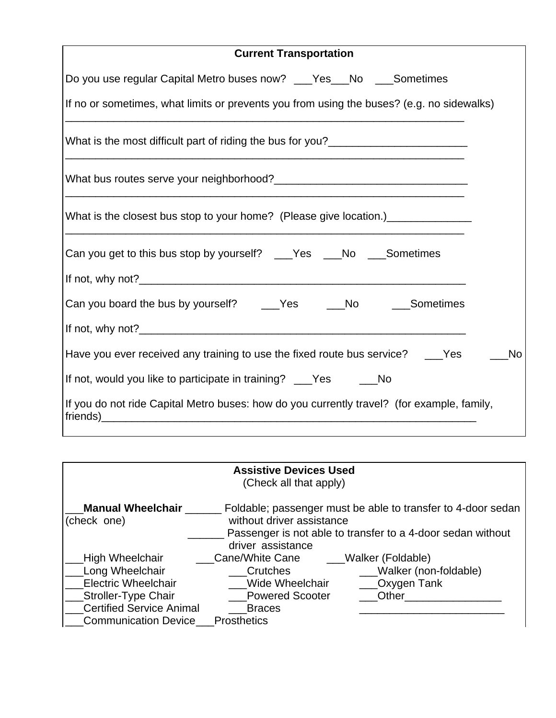| <b>Current Transportation</b>                                                               |  |
|---------------------------------------------------------------------------------------------|--|
| Do you use regular Capital Metro buses now? ___Yes___No ___Sometimes                        |  |
| If no or sometimes, what limits or prevents you from using the buses? (e.g. no sidewalks)   |  |
|                                                                                             |  |
|                                                                                             |  |
| What is the closest bus stop to your home? (Please give location.)______________            |  |
| Can you get to this bus stop by yourself? ___Yes ___No ___Sometimes                         |  |
|                                                                                             |  |
| Can you board the bus by yourself? _____Yes ______No ______Sometimes                        |  |
|                                                                                             |  |
| Have you ever received any training to use the fixed route bus service? ___Yes<br><b>No</b> |  |
| If not, would you like to participate in training? ___Yes _____No                           |  |
| If you do not ride Capital Metro buses: how do you currently travel? (for example, family,  |  |

|                                         | <b>Assistive Devices Used</b><br>(Check all that apply) |                                                                                                                             |
|-----------------------------------------|---------------------------------------------------------|-----------------------------------------------------------------------------------------------------------------------------|
| <b>Manual Wheelchair</b><br>(check one) | without driver assistance<br>driver assistance          | Foldable; passenger must be able to transfer to 4-door sedan<br>Passenger is not able to transfer to a 4-door sedan without |
| High Wheelchair                         | Cane/White Cane                                         | Walker (Foldable)                                                                                                           |
| Long Wheelchair                         | Crutches                                                | Walker (non-foldable)                                                                                                       |
| <b>Electric Wheelchair</b>              | Wide Wheelchair                                         | Oxygen Tank                                                                                                                 |
| <b>Stroller-Type Chair</b>              | <b>Powered Scooter</b>                                  | Other                                                                                                                       |
| <b>Certified Service Animal</b>         | <b>Braces</b>                                           |                                                                                                                             |
| <b>Communication Device</b>             | <b>Prosthetics</b>                                      |                                                                                                                             |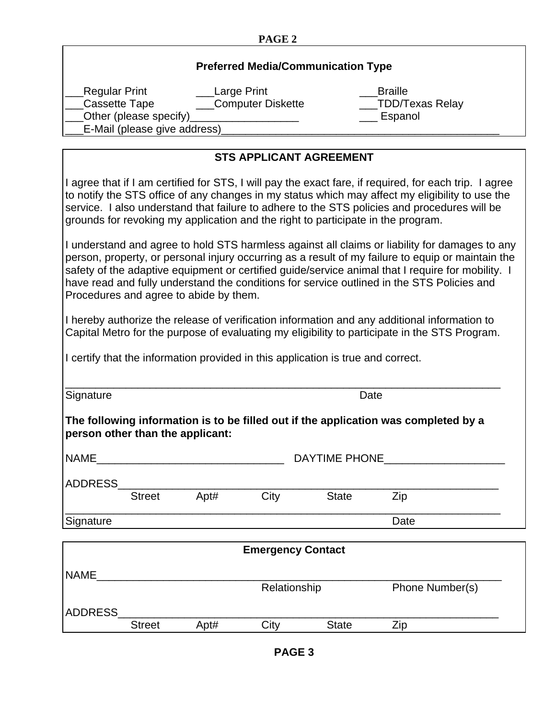## **PAGE 2**

|                                |                                                        |             | <b>Preferred Media/Communication Type</b>                                        |                      |                                                                                                                                                                                                                                                                                                                                                                                                                                                                                                                                                                                                                                                                                                                                                                                                                                                                                                                                                                                                          |
|--------------------------------|--------------------------------------------------------|-------------|----------------------------------------------------------------------------------|----------------------|----------------------------------------------------------------------------------------------------------------------------------------------------------------------------------------------------------------------------------------------------------------------------------------------------------------------------------------------------------------------------------------------------------------------------------------------------------------------------------------------------------------------------------------------------------------------------------------------------------------------------------------------------------------------------------------------------------------------------------------------------------------------------------------------------------------------------------------------------------------------------------------------------------------------------------------------------------------------------------------------------------|
| Regular Print<br>Cassette Tape | Other (please specify)<br>E-Mail (please give address) | Large Print | Computer Diskette                                                                |                      | <b>Braille</b><br>TDD/Texas Relay<br>Espanol                                                                                                                                                                                                                                                                                                                                                                                                                                                                                                                                                                                                                                                                                                                                                                                                                                                                                                                                                             |
|                                |                                                        |             | <b>STS APPLICANT AGREEMENT</b>                                                   |                      |                                                                                                                                                                                                                                                                                                                                                                                                                                                                                                                                                                                                                                                                                                                                                                                                                                                                                                                                                                                                          |
|                                | Procedures and agree to abide by them.                 |             | I certify that the information provided in this application is true and correct. |                      | I agree that if I am certified for STS, I will pay the exact fare, if required, for each trip. I agree<br>to notify the STS office of any changes in my status which may affect my eligibility to use the<br>service. I also understand that failure to adhere to the STS policies and procedures will be<br>grounds for revoking my application and the right to participate in the program.<br>I understand and agree to hold STS harmless against all claims or liability for damages to any<br>person, property, or personal injury occurring as a result of my failure to equip or maintain the<br>safety of the adaptive equipment or certified guide/service animal that I require for mobility. I<br>have read and fully understand the conditions for service outlined in the STS Policies and<br>I hereby authorize the release of verification information and any additional information to<br>Capital Metro for the purpose of evaluating my eligibility to participate in the STS Program. |
|                                |                                                        |             |                                                                                  |                      |                                                                                                                                                                                                                                                                                                                                                                                                                                                                                                                                                                                                                                                                                                                                                                                                                                                                                                                                                                                                          |
| Signature                      |                                                        |             |                                                                                  | Date                 |                                                                                                                                                                                                                                                                                                                                                                                                                                                                                                                                                                                                                                                                                                                                                                                                                                                                                                                                                                                                          |
|                                | person other than the applicant:                       |             |                                                                                  |                      | The following information is to be filled out if the application was completed by a                                                                                                                                                                                                                                                                                                                                                                                                                                                                                                                                                                                                                                                                                                                                                                                                                                                                                                                      |
| <b>NAME</b>                    |                                                        |             |                                                                                  | <b>DAYTIME PHONE</b> |                                                                                                                                                                                                                                                                                                                                                                                                                                                                                                                                                                                                                                                                                                                                                                                                                                                                                                                                                                                                          |
| ADDRESS_                       |                                                        |             |                                                                                  |                      |                                                                                                                                                                                                                                                                                                                                                                                                                                                                                                                                                                                                                                                                                                                                                                                                                                                                                                                                                                                                          |
|                                | <b>Street</b>                                          | Apt#        | City                                                                             | <b>State</b>         | Zip                                                                                                                                                                                                                                                                                                                                                                                                                                                                                                                                                                                                                                                                                                                                                                                                                                                                                                                                                                                                      |
| Signature                      |                                                        |             |                                                                                  |                      | Date                                                                                                                                                                                                                                                                                                                                                                                                                                                                                                                                                                                                                                                                                                                                                                                                                                                                                                                                                                                                     |
|                                |                                                        |             | <b>Emergency Contact</b>                                                         |                      |                                                                                                                                                                                                                                                                                                                                                                                                                                                                                                                                                                                                                                                                                                                                                                                                                                                                                                                                                                                                          |
|                                |                                                        |             |                                                                                  |                      |                                                                                                                                                                                                                                                                                                                                                                                                                                                                                                                                                                                                                                                                                                                                                                                                                                                                                                                                                                                                          |
| NAME                           |                                                        |             | Relationship                                                                     |                      | Phone Number(s)                                                                                                                                                                                                                                                                                                                                                                                                                                                                                                                                                                                                                                                                                                                                                                                                                                                                                                                                                                                          |
|                                |                                                        |             |                                                                                  |                      |                                                                                                                                                                                                                                                                                                                                                                                                                                                                                                                                                                                                                                                                                                                                                                                                                                                                                                                                                                                                          |
| ADDRESS                        | <b>Street</b>                                          | Apt#        | City                                                                             | <b>State</b>         | Zip                                                                                                                                                                                                                                                                                                                                                                                                                                                                                                                                                                                                                                                                                                                                                                                                                                                                                                                                                                                                      |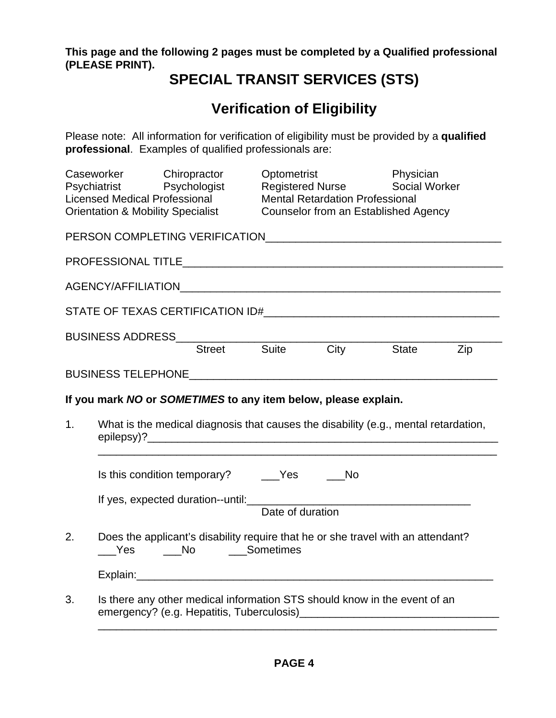**This page and the following 2 pages must be completed by a Qualified professional (PLEASE PRINT).** 

## **SPECIAL TRANSIT SERVICES (STS)**

## **Verification of Eligibility**

Please note: All information for verification of eligibility must be provided by a **qualified professional**. Examples of qualified professionals are:

|    | Caseworker Chiropractor<br>Psychiatrist Psychologist<br><b>Licensed Medical Professional</b><br><b>Orientation &amp; Mobility Specialist</b> |  | Optometrist | <b>Registered Nurse</b><br><b>Mental Retardation Professional</b> | Physician<br><b>Social Worker</b><br>Counselor from an Established Agency                                                                                                                                                      |  |
|----|----------------------------------------------------------------------------------------------------------------------------------------------|--|-------------|-------------------------------------------------------------------|--------------------------------------------------------------------------------------------------------------------------------------------------------------------------------------------------------------------------------|--|
|    |                                                                                                                                              |  |             |                                                                   | PERSON COMPLETING VERIFICATION CONTROL COMMUNISTIES AND THE RESIDENCE OF A STREET AND THE RESIDENCE OF A STREET                                                                                                                |  |
|    |                                                                                                                                              |  |             |                                                                   | PROFESSIONAL TITLE THE RESERVED BY A STATE AND THE RESERVED BY A STATE OF THE RESERVED BY A STATE OF THE RESERVED OF THE RESERVED OF THE RESERVED OF THE RESERVED OF THE RESERVED OF THE RESERVED OF THE RESERVED OF THE RESER |  |
|    |                                                                                                                                              |  |             |                                                                   |                                                                                                                                                                                                                                |  |
|    |                                                                                                                                              |  |             |                                                                   |                                                                                                                                                                                                                                |  |
|    |                                                                                                                                              |  |             |                                                                   | BUSINESS ADDRESS<br>Street Suite City State Zip                                                                                                                                                                                |  |
|    |                                                                                                                                              |  |             |                                                                   |                                                                                                                                                                                                                                |  |
|    | If you mark NO or SOMETIMES to any item below, please explain.                                                                               |  |             |                                                                   |                                                                                                                                                                                                                                |  |
| 1. |                                                                                                                                              |  |             |                                                                   | What is the medical diagnosis that causes the disability (e.g., mental retardation,                                                                                                                                            |  |
|    | Is this condition temporary? ____Yes ____No                                                                                                  |  |             |                                                                   |                                                                                                                                                                                                                                |  |
|    |                                                                                                                                              |  |             |                                                                   | If yes, expected duration--until:<br>Date of duration                                                                                                                                                                          |  |
| 2. | Ves No Sometimes                                                                                                                             |  |             |                                                                   | Does the applicant's disability require that he or she travel with an attendant?                                                                                                                                               |  |
|    |                                                                                                                                              |  |             |                                                                   |                                                                                                                                                                                                                                |  |
| 3. |                                                                                                                                              |  |             |                                                                   | Is there any other medical information STS should know in the event of an                                                                                                                                                      |  |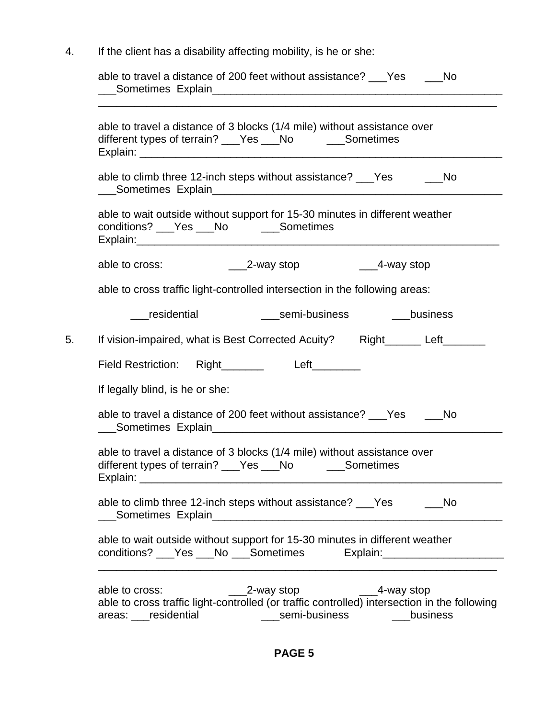4. If the client has a disability affecting mobility, is he or she:

| able to travel a distance of 3 blocks (1/4 mile) without assistance over<br>different types of terrain? ___Yes ___No _____Sometimes                        |  |
|------------------------------------------------------------------------------------------------------------------------------------------------------------|--|
| able to climb three 12-inch steps without assistance? ___Yes ______No                                                                                      |  |
| able to wait outside without support for 15-30 minutes in different weather<br>conditions? ___Yes ___No _____Sometimes                                     |  |
| able to cross:                                                                                                                                             |  |
| able to cross traffic light-controlled intersection in the following areas:                                                                                |  |
| residential<br>semi-business<br>business                                                                                                                   |  |
| If vision-impaired, what is Best Corrected Acuity? Right______ Left_____                                                                                   |  |
| Field Restriction: Right_______ Left_______                                                                                                                |  |
| If legally blind, is he or she:                                                                                                                            |  |
| able to travel a distance of 200 feet without assistance? Ves<br><b>No</b>                                                                                 |  |
| able to travel a distance of 3 blocks (1/4 mile) without assistance over<br>different types of terrain? ___Yes ___No ______Sometimes<br>Explain:           |  |
| able to climb three 12-inch steps without assistance? ___Yes<br>- No                                                                                       |  |
| able to wait outside without support for 15-30 minutes in different weather<br>conditions? ___ Yes ___ No ___Sometimes<br>Explain: _______________________ |  |